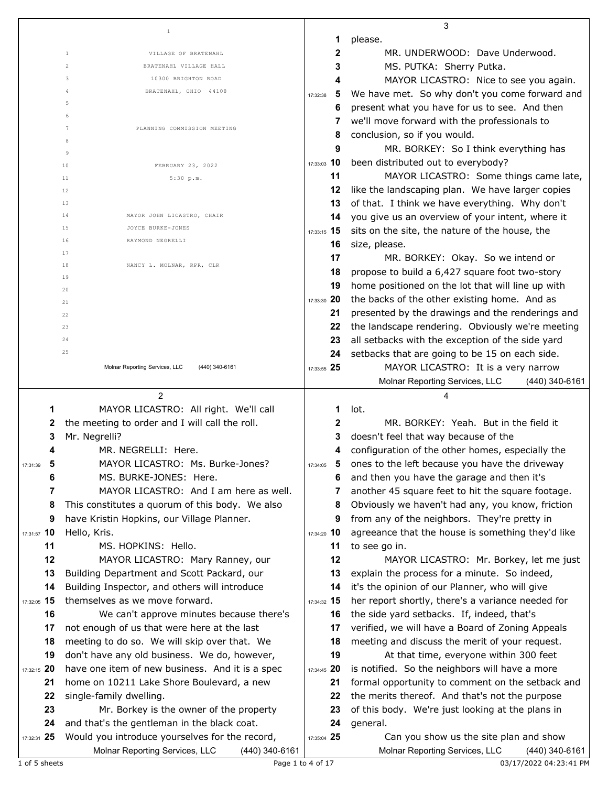|                     |                                                                                                    |               | 3                                                                                                |
|---------------------|----------------------------------------------------------------------------------------------------|---------------|--------------------------------------------------------------------------------------------------|
|                     | $\,1\,$                                                                                            | 1             | please.                                                                                          |
|                     | $\mathbf{1}$<br>VILLAGE OF BRATENAHL                                                               | 2             | MR. UNDERWOOD: Dave Underwood.                                                                   |
|                     | $\overline{c}$<br>BRATENAHL VILLAGE HALL                                                           | 3             | MS. PUTKA: Sherry Putka.                                                                         |
|                     | 3<br>10300 BRIGHTON ROAD                                                                           | 4             | MAYOR LICASTRO: Nice to see you again.                                                           |
|                     | BRATENAHL, OHIO 44108<br>4                                                                         | 5<br>17:32:38 | We have met. So why don't you come forward and                                                   |
|                     | 5                                                                                                  | 6             | present what you have for us to see. And then                                                    |
|                     | 6                                                                                                  | 7             | we'll move forward with the professionals to                                                     |
|                     | 7<br>PLANNING COMMISSION MEETING                                                                   | 8             | conclusion, so if you would.                                                                     |
|                     | 8                                                                                                  | 9             | MR. BORKEY: So I think everything has                                                            |
|                     | 9                                                                                                  | 17:33:03 10   | been distributed out to everybody?                                                               |
|                     | 10<br>FEBRUARY 23, 2022                                                                            | 11            | MAYOR LICASTRO: Some things came late,                                                           |
|                     | 11<br>5:30 p.m.<br>12                                                                              | 12            | like the landscaping plan. We have larger copies                                                 |
|                     | 13                                                                                                 | 13            | of that. I think we have everything. Why don't                                                   |
|                     | 14<br>MAYOR JOHN LICASTRO, CHAIR                                                                   | 14            | you give us an overview of your intent, where it                                                 |
|                     | 15<br>JOYCE BURKE-JONES                                                                            | 17:33:15 15   | sits on the site, the nature of the house, the                                                   |
|                     | 16<br>RAYMOND NEGRELLI                                                                             | 16            | size, please.                                                                                    |
|                     | 17                                                                                                 | 17            | MR. BORKEY: Okay. So we intend or                                                                |
|                     | 18<br>NANCY L. MOLNAR, RPR, CLR                                                                    | 18            | propose to build a 6,427 square foot two-story                                                   |
|                     | 19                                                                                                 | 19            | home positioned on the lot that will line up with                                                |
|                     | 20                                                                                                 | 17:33:30 20   | the backs of the other existing home. And as                                                     |
|                     | 21                                                                                                 | 21            | presented by the drawings and the renderings and                                                 |
|                     | 22                                                                                                 | 22            | the landscape rendering. Obviously we're meeting                                                 |
|                     | 23<br>24                                                                                           | 23            | all setbacks with the exception of the side yard                                                 |
|                     | 25                                                                                                 | 24            | setbacks that are going to be 15 on each side.                                                   |
|                     | Molnar Reporting Services, LLC<br>(440) 340-6161                                                   | 17:33:55 25   | MAYOR LICASTRO: It is a very narrow                                                              |
|                     |                                                                                                    |               | Molnar Reporting Services, LLC<br>$(440)$ 340-6161                                               |
|                     |                                                                                                    |               |                                                                                                  |
|                     |                                                                                                    |               |                                                                                                  |
|                     | $\overline{2}$                                                                                     |               | 4                                                                                                |
| 1                   | MAYOR LICASTRO: All right. We'll call                                                              | 1             | lot.                                                                                             |
| 2                   | the meeting to order and I will call the roll.                                                     | $\mathbf{2}$  | MR, BORKEY: Yeah, But in the field it                                                            |
| 3                   | Mr. Negrelli?                                                                                      | 3             | doesn't feel that way because of the                                                             |
| 4                   | MR. NEGRELLI: Here.                                                                                | 4             | configuration of the other homes, especially the                                                 |
| 5<br>17:31:39       | MAYOR LICASTRO: Ms. Burke-Jones?                                                                   | 17:34:05      | ones to the left because you have the driveway                                                   |
| 6<br>$\overline{7}$ | MS. BURKE-JONES: Here.<br>MAYOR LICASTRO: And I am here as well.                                   | 6<br>7        | and then you have the garage and then it's                                                       |
| 8                   |                                                                                                    | 8             | another 45 square feet to hit the square footage.                                                |
| 9                   | This constitutes a quorum of this body. We also<br>have Kristin Hopkins, our Village Planner.      | 9             | Obviously we haven't had any, you know, friction<br>from any of the neighbors. They're pretty in |
| 17:31:57 10         | Hello, Kris.                                                                                       | 17:34:20 10   | agreeance that the house is something they'd like                                                |
| 11                  | MS. HOPKINS: Hello.                                                                                | 11            | to see go in.                                                                                    |
| 12                  | MAYOR LICASTRO: Mary Ranney, our                                                                   | 12            | MAYOR LICASTRO: Mr. Borkey, let me just                                                          |
| 13                  | Building Department and Scott Packard, our                                                         | 13            | explain the process for a minute. So indeed,                                                     |
| 14                  | Building Inspector, and others will introduce                                                      | 14            | it's the opinion of our Planner, who will give                                                   |
| 17:32:05 15         | themselves as we move forward.                                                                     | 17:34:32 15   | her report shortly, there's a variance needed for                                                |
| 16                  | We can't approve minutes because there's                                                           | 16            | the side yard setbacks. If, indeed, that's                                                       |
| 17                  | not enough of us that were here at the last                                                        | 17            | verified, we will have a Board of Zoning Appeals                                                 |
| 18                  | meeting to do so. We will skip over that. We                                                       | 18            | meeting and discuss the merit of your request.                                                   |
| 19                  | don't have any old business. We do, however,                                                       | 19            | At that time, everyone within 300 feet                                                           |
| 17:32:15 20         | have one item of new business. And it is a spec                                                    | 17:34:45 20   | is notified. So the neighbors will have a more                                                   |
| 21                  | home on 10211 Lake Shore Boulevard, a new                                                          | 21            | formal opportunity to comment on the setback and                                                 |
| 22                  | single-family dwelling.                                                                            | 22            | the merits thereof. And that's not the purpose                                                   |
| 23                  | Mr. Borkey is the owner of the property                                                            | 23            | of this body. We're just looking at the plans in                                                 |
| 24                  | and that's the gentleman in the black coat.                                                        | 24            | general.                                                                                         |
| 17:32:31 25         | Would you introduce yourselves for the record,<br>Molnar Reporting Services, LLC<br>(440) 340-6161 | 17:35:04 25   | Can you show us the site plan and show<br>Molnar Reporting Services, LLC<br>(440) 340-6161       |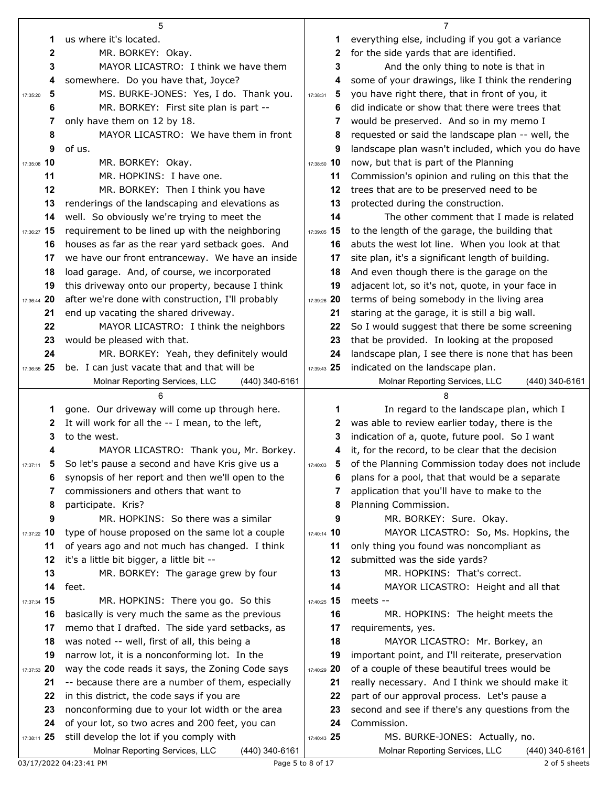|                  | 5                                                                                            |               | 7                                                                                  |
|------------------|----------------------------------------------------------------------------------------------|---------------|------------------------------------------------------------------------------------|
| 1                | us where it's located.                                                                       | 1             | everything else, including if you got a variance                                   |
| $\boldsymbol{2}$ | MR. BORKEY: Okay.                                                                            | 2             | for the side yards that are identified.                                            |
| 3                | MAYOR LICASTRO: I think we have them                                                         | 3             | And the only thing to note is that in                                              |
| 4                | somewhere. Do you have that, Joyce?                                                          | 4             | some of your drawings, like I think the rendering                                  |
| 5<br>17:35:20    | MS. BURKE-JONES: Yes, I do. Thank you.                                                       | 5<br>17:38:31 | you have right there, that in front of you, it                                     |
| 6                | MR. BORKEY: First site plan is part --                                                       | 6             | did indicate or show that there were trees that                                    |
| 7                | only have them on 12 by 18.                                                                  | 7             | would be preserved. And so in my memo I                                            |
| 8                | MAYOR LICASTRO: We have them in front                                                        | 8             | requested or said the landscape plan -- well, the                                  |
| 9                | of us.                                                                                       | 9             | landscape plan wasn't included, which you do have                                  |
| 17:35:08 10      | MR. BORKEY: Okay.                                                                            | 17:38:50 10   | now, but that is part of the Planning                                              |
| 11               | MR. HOPKINS: I have one.                                                                     | 11            | Commission's opinion and ruling on this that the                                   |
| 12               | MR. BORKEY: Then I think you have                                                            | 12            | trees that are to be preserved need to be                                          |
| 13               | renderings of the landscaping and elevations as                                              | 13            | protected during the construction.                                                 |
| 14               | well. So obviously we're trying to meet the                                                  | 14            | The other comment that I made is related                                           |
| 17:36:27 15      | requirement to be lined up with the neighboring                                              | 17:39:05 15   | to the length of the garage, the building that                                     |
| 16               | houses as far as the rear yard setback goes. And                                             | 16            | abuts the west lot line. When you look at that                                     |
| 17               | we have our front entranceway. We have an inside                                             | 17            | site plan, it's a significant length of building.                                  |
| 18               | load garage. And, of course, we incorporated                                                 | 18            | And even though there is the garage on the                                         |
| 19               | this driveway onto our property, because I think                                             | 19            | adjacent lot, so it's not, quote, in your face in                                  |
| 17:36:44 20      | after we're done with construction, I'll probably                                            | 17:39:26 20   | terms of being somebody in the living area                                         |
| 21               | end up vacating the shared driveway.                                                         | 21            | staring at the garage, it is still a big wall.                                     |
| 22               | MAYOR LICASTRO: I think the neighbors                                                        | 22            | So I would suggest that there be some screening                                    |
| 23               | would be pleased with that.                                                                  | 23            | that be provided. In looking at the proposed                                       |
| 24               | MR. BORKEY: Yeah, they definitely would                                                      | 24            | landscape plan, I see there is none that has been                                  |
| 17:36:55 25      | be. I can just vacate that and that will be                                                  | 17:39:43 25   | indicated on the landscape plan.                                                   |
|                  | Molnar Reporting Services, LLC<br>(440) 340-6161                                             |               | Molnar Reporting Services, LLC<br>(440) 340-6161                                   |
|                  |                                                                                              |               |                                                                                    |
|                  |                                                                                              |               |                                                                                    |
| 1                | gone. Our driveway will come up through here.                                                | 1             | In regard to the landscape plan, which I                                           |
| 2                | It will work for all the -- I mean, to the left,                                             | 2             | was able to review earlier today, there is the                                     |
| 3                | to the west.                                                                                 | 3             | indication of a, quote, future pool. So I want                                     |
|                  | MAYOR LICASTRO: Thank you, Mr. Borkey.                                                       | 4             | it, for the record, to be clear that the decision                                  |
| 17:37:11         | So let's pause a second and have Kris give us a                                              | 17:40:03      | 5 of the Planning Commission today does not include                                |
| 6                | synopsis of her report and then we'll open to the                                            | 6             | plans for a pool, that that would be a separate                                    |
| 7                | commissioners and others that want to                                                        |               | application that you'll have to make to the                                        |
| 8                | participate. Kris?                                                                           | 8             | Planning Commission.                                                               |
| 9                | MR. HOPKINS: So there was a similar                                                          | 9             | MR. BORKEY: Sure. Okay.                                                            |
| 17:37:22 10      | type of house proposed on the same lot a couple                                              | 17:40:14 10   | MAYOR LICASTRO: So, Ms. Hopkins, the                                               |
| 11               | of years ago and not much has changed. I think                                               | 11            | only thing you found was noncompliant as                                           |
| 12               | it's a little bit bigger, a little bit --                                                    | 12            | submitted was the side yards?                                                      |
| 13               | MR. BORKEY: The garage grew by four                                                          | 13            | MR. HOPKINS: That's correct.                                                       |
| 14               | feet.                                                                                        | 14            | MAYOR LICASTRO: Height and all that                                                |
| 17:37:34 15      | MR. HOPKINS: There you go. So this                                                           | 17:40:25 15   | meets --                                                                           |
| 16               | basically is very much the same as the previous                                              | 16            | MR. HOPKINS: The height meets the                                                  |
| 17               | memo that I drafted. The side yard setbacks, as                                              | 17            | requirements, yes.                                                                 |
| 18               | was noted -- well, first of all, this being a                                                | 18            | MAYOR LICASTRO: Mr. Borkey, an                                                     |
| 19               | narrow lot, it is a nonconforming lot. In the                                                | 19            | important point, and I'll reiterate, preservation                                  |
| 17:37:53 20      | way the code reads it says, the Zoning Code says                                             | 17:40:29 20   | of a couple of these beautiful trees would be                                      |
| 21               | -- because there are a number of them, especially                                            | 21            | really necessary. And I think we should make it                                    |
| 22               | in this district, the code says if you are                                                   | 22            | part of our approval process. Let's pause a                                        |
| 23               | nonconforming due to your lot width or the area                                              | 23            | second and see if there's any questions from the                                   |
| 24               | of your lot, so two acres and 200 feet, you can                                              | 24            | Commission.                                                                        |
| 17:38:11 25      | still develop the lot if you comply with<br>(440) 340-6161<br>Molnar Reporting Services, LLC | 17:40:43 25   | MS. BURKE-JONES: Actually, no.<br>Molnar Reporting Services, LLC<br>(440) 340-6161 |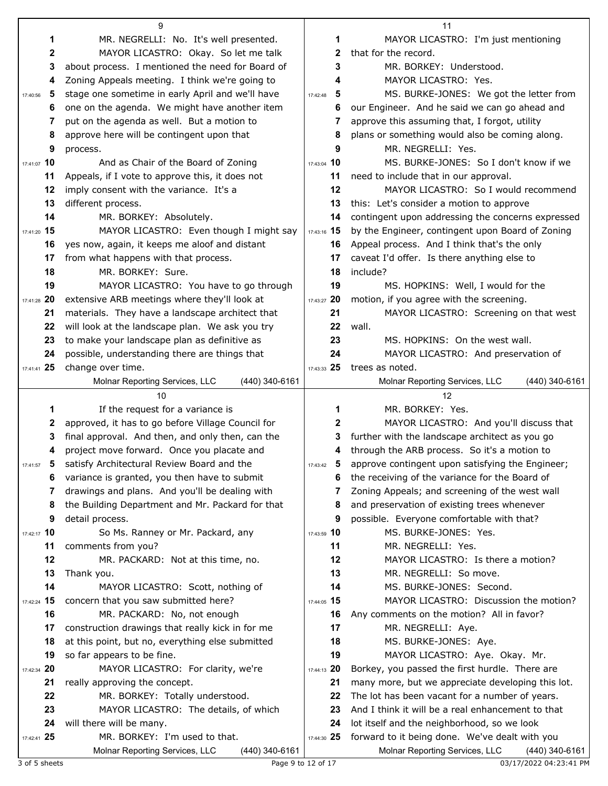|                | 9                                                 |               | 11                                                 |
|----------------|---------------------------------------------------|---------------|----------------------------------------------------|
| 1              | MR. NEGRELLI: No. It's well presented.            | 1             | MAYOR LICASTRO: I'm just mentioning                |
| 2              | MAYOR LICASTRO: Okay. So let me talk              | 2             | that for the record.                               |
| 3              | about process. I mentioned the need for Board of  | 3             | MR. BORKEY: Understood.                            |
| 4              | Zoning Appeals meeting. I think we're going to    | 4             | MAYOR LICASTRO: Yes.                               |
| 5<br>17:40:56  | stage one sometime in early April and we'll have  | 5<br>17:42:48 | MS. BURKE-JONES: We got the letter from            |
| 6              | one on the agenda. We might have another item     | 6             | our Engineer. And he said we can go ahead and      |
| 7              | put on the agenda as well. But a motion to        | 7             | approve this assuming that, I forgot, utility      |
| 8              | approve here will be contingent upon that         | 8             | plans or something would also be coming along.     |
| 9              | process.                                          | 9             | MR. NEGRELLI: Yes.                                 |
| 17:41:07 10    | And as Chair of the Board of Zoning               | 17:43:04 10   | MS. BURKE-JONES: So I don't know if we             |
| 11             | Appeals, if I vote to approve this, it does not   | 11            | need to include that in our approval.              |
| 12             | imply consent with the variance. It's a           | 12            | MAYOR LICASTRO: So I would recommend               |
| 13             | different process.                                | 13            | this: Let's consider a motion to approve           |
| 14             | MR. BORKEY: Absolutely.                           | 14            | contingent upon addressing the concerns expressed  |
| 17:41:20 15    | MAYOR LICASTRO: Even though I might say           | 17:43:16 15   | by the Engineer, contingent upon Board of Zoning   |
| 16             | yes now, again, it keeps me aloof and distant     | 16            | Appeal process. And I think that's the only        |
| 17             | from what happens with that process.              | 17            | caveat I'd offer. Is there anything else to        |
| 18             | MR. BORKEY: Sure.                                 | 18            | include?                                           |
| 19             | MAYOR LICASTRO: You have to go through            | 19            | MS. HOPKINS: Well, I would for the                 |
| 17:41:28 20    | extensive ARB meetings where they'll look at      | 17:43:27 20   | motion, if you agree with the screening.           |
| 21             | materials. They have a landscape architect that   | 21            | MAYOR LICASTRO: Screening on that west             |
| 22             | will look at the landscape plan. We ask you try   | 22            | wall.                                              |
| 23             | to make your landscape plan as definitive as      | 23            | MS. HOPKINS: On the west wall.                     |
| 24             | possible, understanding there are things that     | 24            | MAYOR LICASTRO: And preservation of                |
| $17:41:41$ 25  | change over time.                                 | 17:43:33 25   | trees as noted.                                    |
|                | Molnar Reporting Services, LLC<br>(440) 340-6161  |               | Molnar Reporting Services, LLC<br>$(440)$ 340-6161 |
|                |                                                   |               |                                                    |
|                | 10                                                |               | 12                                                 |
| 1              | If the request for a variance is                  | 1             | MR. BORKEY: Yes.                                   |
| 2              | approved, it has to go before Village Council for | 2             | MAYOR LICASTRO: And you'll discuss that            |
| 3              | final approval. And then, and only then, can the  | 3             | further with the landscape architect as you go     |
| 4              | project move forward. Once you placate and        | 4             | through the ARB process. So it's a motion to       |
| 17:41:57       | 5 satisfy Architectural Review Board and the      | 5<br>17:43:42 | approve contingent upon satisfying the Engineer;   |
| 6              | variance is granted, you then have to submit      | 6             | the receiving of the variance for the Board of     |
| 7              | drawings and plans. And you'll be dealing with    | 7             | Zoning Appeals; and screening of the west wall     |
| 8              | the Building Department and Mr. Packard for that  | 8             | and preservation of existing trees whenever        |
| 9              | detail process.                                   | 9             | possible. Everyone comfortable with that?          |
| 17:42:17 10    | So Ms. Ranney or Mr. Packard, any                 | 17:43:59 10   | MS. BURKE-JONES: Yes.                              |
| 11             | comments from you?                                | 11            | MR. NEGRELLI: Yes.                                 |
| 12             | MR. PACKARD: Not at this time, no.                | 12            | MAYOR LICASTRO: Is there a motion?                 |
| 13             | Thank you.                                        | 13            | MR. NEGRELLI: So move.                             |
| 14             | MAYOR LICASTRO: Scott, nothing of                 | 14            | MS. BURKE-JONES: Second.                           |
| 15<br>17:42:24 | concern that you saw submitted here?              | 17:44:05 15   | MAYOR LICASTRO: Discussion the motion?             |
| 16             | MR. PACKARD: No, not enough                       | 16            | Any comments on the motion? All in favor?          |
| 17             | construction drawings that really kick in for me  | 17            | MR. NEGRELLI: Aye.                                 |
| 18             | at this point, but no, everything else submitted  | 18            | MS. BURKE-JONES: Aye.                              |
| 19             | so far appears to be fine.                        | 19            | MAYOR LICASTRO: Aye. Okay. Mr.                     |
| 17:42:34 20    | MAYOR LICASTRO: For clarity, we're                | 17:44:13 20   | Borkey, you passed the first hurdle. There are     |
| 21             | really approving the concept.                     | 21            | many more, but we appreciate developing this lot.  |
| 22             | MR. BORKEY: Totally understood.                   | 22            | The lot has been vacant for a number of years.     |
| 23             | MAYOR LICASTRO: The details, of which             | 23            | And I think it will be a real enhancement to that  |
| 24             | will there will be many.                          | 24            | lot itself and the neighborhood, so we look        |
| 17:42:41 25    | MR. BORKEY: I'm used to that.                     | 17:44:30 25   | forward to it being done. We've dealt with you     |

3 of 5 sheets 23:41 PM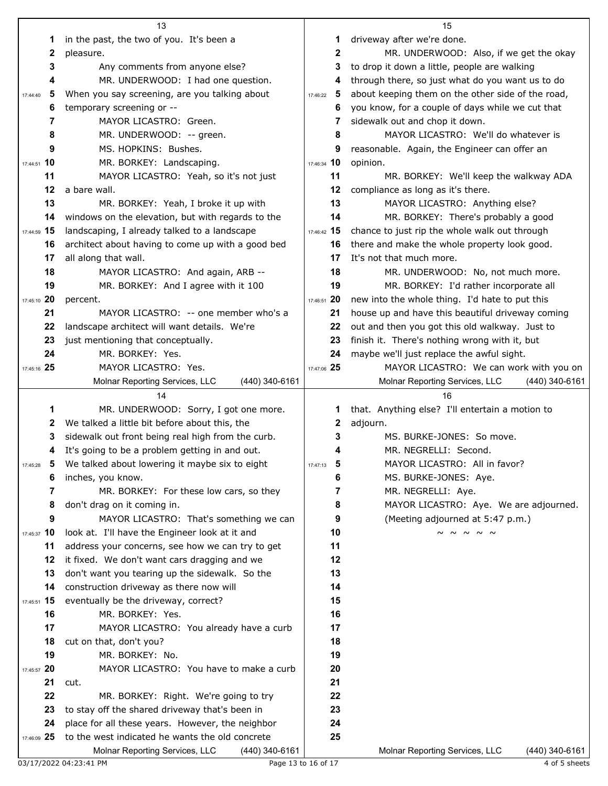|               | 13                                                 |               | 15                                                 |  |
|---------------|----------------------------------------------------|---------------|----------------------------------------------------|--|
| 1             | in the past, the two of you. It's been a           | 1             | driveway after we're done.                         |  |
| 2             | pleasure.                                          | $\mathbf{2}$  | MR. UNDERWOOD: Also, if we get the okay            |  |
| 3             | Any comments from anyone else?                     | 3             | to drop it down a little, people are walking       |  |
| 4             | MR. UNDERWOOD: I had one question.                 | 4             | through there, so just what do you want us to do   |  |
| 5<br>17:44:40 | When you say screening, are you talking about      | 5<br>17:46:22 | about keeping them on the other side of the road,  |  |
| 6             | temporary screening or --                          | 6             | you know, for a couple of days while we cut that   |  |
| 7             | MAYOR LICASTRO: Green.                             | 7             | sidewalk out and chop it down.                     |  |
| 8             | MR. UNDERWOOD: -- green.                           | 8             | MAYOR LICASTRO: We'll do whatever is               |  |
| 9             | MS. HOPKINS: Bushes.                               | 9             | reasonable. Again, the Engineer can offer an       |  |
| 17:44:51 10   | MR. BORKEY: Landscaping.                           | 17:46:34 10   | opinion.                                           |  |
| 11            | MAYOR LICASTRO: Yeah, so it's not just             | 11            | MR. BORKEY: We'll keep the walkway ADA             |  |
| 12            | a bare wall.                                       | 12            | compliance as long as it's there.                  |  |
| 13            | MR. BORKEY: Yeah, I broke it up with               | 13            | MAYOR LICASTRO: Anything else?                     |  |
| 14            | windows on the elevation, but with regards to the  | 14            | MR. BORKEY: There's probably a good                |  |
| 17:44:59 15   | landscaping, I already talked to a landscape       | 17:46:42 15   | chance to just rip the whole walk out through      |  |
|               |                                                    |               |                                                    |  |
| 16            | architect about having to come up with a good bed  | 16            | there and make the whole property look good.       |  |
| 17            | all along that wall.                               | 17            | It's not that much more.                           |  |
| 18            | MAYOR LICASTRO: And again, ARB --                  | 18            | MR. UNDERWOOD: No, not much more.                  |  |
| 19            | MR. BORKEY: And I agree with it 100                | 19            | MR. BORKEY: I'd rather incorporate all             |  |
| 17:45:10 20   | percent.                                           | 17:46:51 20   | new into the whole thing. I'd hate to put this     |  |
| 21            | MAYOR LICASTRO: -- one member who's a              | 21            | house up and have this beautiful driveway coming   |  |
| 22            | landscape architect will want details. We're       | 22            | out and then you got this old walkway. Just to     |  |
| 23            | just mentioning that conceptually.                 | 23            | finish it. There's nothing wrong with it, but      |  |
| 24            | MR. BORKEY: Yes.                                   | 24            | maybe we'll just replace the awful sight.          |  |
| 17:45:16 25   | MAYOR LICASTRO: Yes.                               | 17:47:06 25   | MAYOR LICASTRO: We can work with you on            |  |
|               | Molnar Reporting Services, LLC<br>$(440)$ 340-6161 |               | Molnar Reporting Services, LLC<br>$(440)$ 340-6161 |  |
|               |                                                    |               |                                                    |  |
|               | 14                                                 |               | 16                                                 |  |
| 1             | MR. UNDERWOOD: Sorry, I got one more.              | 1             | that. Anything else? I'll entertain a motion to    |  |
| 2             | We talked a little bit before about this, the      | 2             | adjourn.                                           |  |
| 3             | sidewalk out front being real high from the curb.  | 3             | MS. BURKE-JONES: So move.                          |  |
| 4             | It's going to be a problem getting in and out.     |               | MR. NEGRELLI: Second.                              |  |
| 17:45:28      | 5 We talked about lowering it maybe six to eight   | 17:47:13      | MAYOR LICASTRO: All in favor?                      |  |
| 6             | inches, you know.                                  | 6             | MS. BURKE-JONES: Aye.                              |  |
| 7             | MR. BORKEY: For these low cars, so they            | 7             | MR. NEGRELLI: Aye.                                 |  |
| 8             | don't drag on it coming in.                        | 8             | MAYOR LICASTRO: Aye. We are adjourned.             |  |
| 9             | MAYOR LICASTRO: That's something we can            | 9             | (Meeting adjourned at 5:47 p.m.)                   |  |
| 17:45:37 10   | look at. I'll have the Engineer look at it and     | 10            | $\sim$ $\sim$ $\sim$ $\sim$ $\sim$                 |  |
| 11            | address your concerns, see how we can try to get   | 11            |                                                    |  |
| 12            | it fixed. We don't want cars dragging and we       | 12            |                                                    |  |
| 13            | don't want you tearing up the sidewalk. So the     | 13            |                                                    |  |
| 14            | construction driveway as there now will            | 14            |                                                    |  |
| 17:45:51 15   | eventually be the driveway, correct?               | 15            |                                                    |  |
| 16            | MR. BORKEY: Yes.                                   | 16            |                                                    |  |
| 17            | MAYOR LICASTRO: You already have a curb            | 17            |                                                    |  |
| 18            | cut on that, don't you?                            | 18            |                                                    |  |
| 19            | MR. BORKEY: No.                                    | 19            |                                                    |  |
| 17:45:57 20   | MAYOR LICASTRO: You have to make a curb            | 20            |                                                    |  |
| 21            | cut.                                               | 21            |                                                    |  |
| 22            | MR. BORKEY: Right. We're going to try              | 22            |                                                    |  |
| 23            | to stay off the shared driveway that's been in     | 23            |                                                    |  |
| 24            | place for all these years. However, the neighbor   | 24            |                                                    |  |
| 17:46:09 25   | to the west indicated he wants the old concrete    | 25            |                                                    |  |